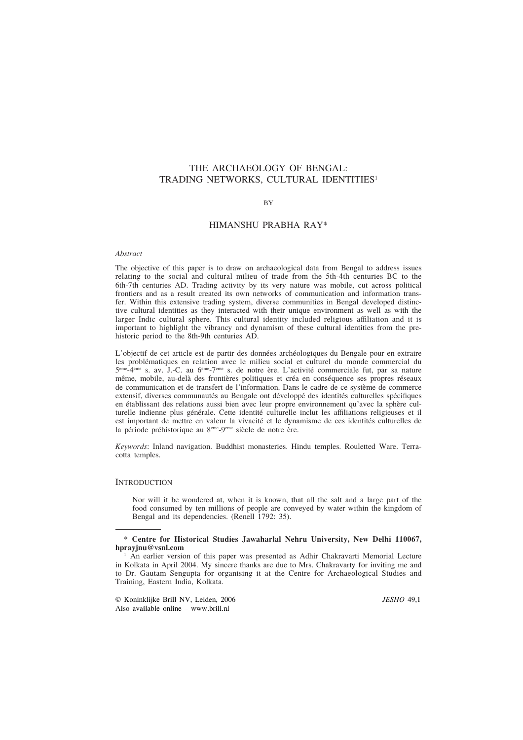# THE ARCHAEOLOGY OF BENGAL: TRADING NETWORKS, CULTURAL IDENTITIES<sup>1</sup>

BY

### HIMANSHU PRABHA RAY\*

#### *Abstract*

The objective of this paper is to draw on archaeological data from Bengal to address issues relating to the social and cultural milieu of trade from the 5th-4th centuries BC to the 6th-7th centuries AD. Trading activity by its very nature was mobile, cut across political frontiers and as a result created its own networks of communication and information transfer. Within this extensive trading system, diverse communities in Bengal developed distinctive cultural identities as they interacted with their unique environment as well as with the larger Indic cultural sphere. This cultural identity included religious affiliation and it is important to highlight the vibrancy and dynamism of these cultural identities from the prehistoric period to the 8th-9th centuries AD.

L'objectif de cet article est de partir des données archéologiques du Bengale pour en extraire les problématiques en relation avec le milieu social et culturel du monde commercial du 5<sup>eme</sup>-4<sup>eme</sup> s. av. J.-C. au 6<sup>eme</sup>-7<sup>eme</sup> s. de notre ère. L'activité commerciale fut, par sa nature même, mobile, au-delà des frontières politiques et créa en conséquence ses propres réseaux de communication et de transfert de l'information. Dans le cadre de ce système de commerce extensif, diverses communautés au Bengale ont développé des identités culturelles spécifiques en établissant des relations aussi bien avec leur propre environnement qu'avec la sphère culturelle indienne plus générale. Cette identité culturelle inclut les affiliations religieuses et il est important de mettre en valeur la vivacité et le dynamisme de ces identités culturelles de la période préhistorique au 8eme-9eme siècle de notre ère.

*Keywords*: Inland navigation. Buddhist monasteries. Hindu temples. Rouletted Ware. Terracotta temples.

#### **INTRODUCTION**

Nor will it be wondered at, when it is known, that all the salt and a large part of the food consumed by ten millions of people are conveyed by water within the kingdom of Bengal and its dependencies. (Renell 1792: 35).

### \* **Centre for Historical Studies Jawaharlal Nehru University, New Delhi 110067, hprayjnu@vsnl.com**

 $1$  An earlier version of this paper was presented as Adhir Chakravarti Memorial Lecture in Kolkata in April 2004. My sincere thanks are due to Mrs. Chakravarty for inviting me and to Dr. Gautam Sengupta for organising it at the Centre for Archaeological Studies and Training, Eastern India, Kolkata.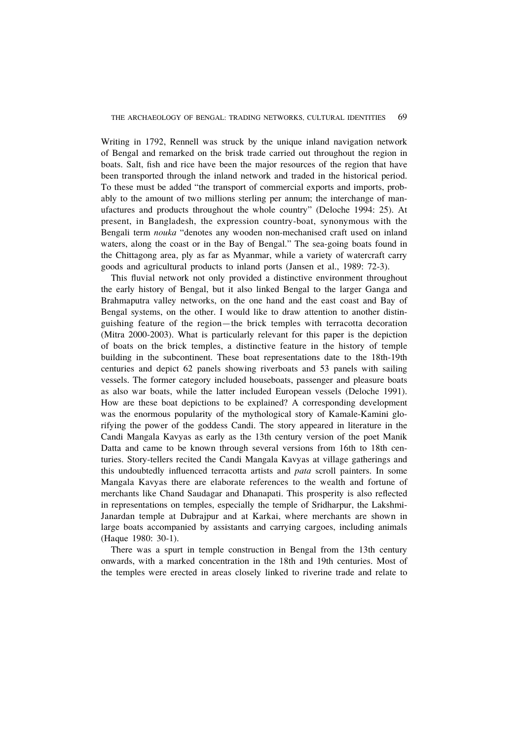Writing in 1792, Rennell was struck by the unique inland navigation network of Bengal and remarked on the brisk trade carried out throughout the region in boats. Salt, fish and rice have been the major resources of the region that have been transported through the inland network and traded in the historical period. To these must be added "the transport of commercial exports and imports, probably to the amount of two millions sterling per annum; the interchange of manufactures and products throughout the whole country" (Deloche 1994: 25). At present, in Bangladesh, the expression country-boat, synonymous with the Bengali term *nouka* "denotes any wooden non-mechanised craft used on inland waters, along the coast or in the Bay of Bengal." The sea-going boats found in the Chittagong area, ply as far as Myanmar, while a variety of watercraft carry goods and agricultural products to inland ports (Jansen et al., 1989: 72-3).

This fluvial network not only provided a distinctive environment throughout the early history of Bengal, but it also linked Bengal to the larger Ganga and Brahmaputra valley networks, on the one hand and the east coast and Bay of Bengal systems, on the other. I would like to draw attention to another distinguishing feature of the region—the brick temples with terracotta decoration (Mitra 2000-2003). What is particularly relevant for this paper is the depiction of boats on the brick temples, a distinctive feature in the history of temple building in the subcontinent. These boat representations date to the 18th-19th centuries and depict 62 panels showing riverboats and 53 panels with sailing vessels. The former category included houseboats, passenger and pleasure boats as also war boats, while the latter included European vessels (Deloche 1991). How are these boat depictions to be explained? A corresponding development was the enormous popularity of the mythological story of Kamale-Kamini glorifying the power of the goddess Candi. The story appeared in literature in the Candi Mangala Kavyas as early as the 13th century version of the poet Manik Datta and came to be known through several versions from 16th to 18th centuries. Story-tellers recited the Candi Mangala Kavyas at village gatherings and this undoubtedly influenced terracotta artists and *pata* scroll painters. In some Mangala Kavyas there are elaborate references to the wealth and fortune of merchants like Chand Saudagar and Dhanapati. This prosperity is also reflected in representations on temples, especially the temple of Sridharpur, the Lakshmi-Janardan temple at Dubrajpur and at Karkai, where merchants are shown in large boats accompanied by assistants and carrying cargoes, including animals (Haque 1980: 30-1).

There was a spurt in temple construction in Bengal from the 13th century onwards, with a marked concentration in the 18th and 19th centuries. Most of the temples were erected in areas closely linked to riverine trade and relate to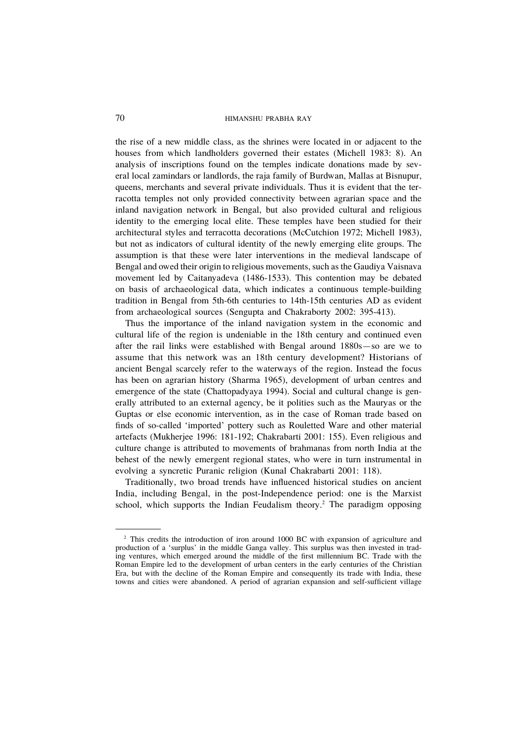the rise of a new middle class, as the shrines were located in or adjacent to the houses from which landholders governed their estates (Michell 1983: 8). An analysis of inscriptions found on the temples indicate donations made by several local zamindars or landlords, the raja family of Burdwan, Mallas at Bisnupur, queens, merchants and several private individuals. Thus it is evident that the terracotta temples not only provided connectivity between agrarian space and the inland navigation network in Bengal, but also provided cultural and religious identity to the emerging local elite. These temples have been studied for their architectural styles and terracotta decorations (McCutchion 1972; Michell 1983), but not as indicators of cultural identity of the newly emerging elite groups. The assumption is that these were later interventions in the medieval landscape of Bengal and owed their origin to religious movements, such as the Gaudiya Vaisnava movement led by Caitanyadeva (1486-1533). This contention may be debated on basis of archaeological data, which indicates a continuous temple-building tradition in Bengal from 5th-6th centuries to 14th-15th centuries AD as evident from archaeological sources (Sengupta and Chakraborty 2002: 395-413).

Thus the importance of the inland navigation system in the economic and cultural life of the region is undeniable in the 18th century and continued even after the rail links were established with Bengal around 1880s—so are we to assume that this network was an 18th century development? Historians of ancient Bengal scarcely refer to the waterways of the region. Instead the focus has been on agrarian history (Sharma 1965), development of urban centres and emergence of the state (Chattopadyaya 1994). Social and cultural change is generally attributed to an external agency, be it polities such as the Mauryas or the Guptas or else economic intervention, as in the case of Roman trade based on finds of so-called 'imported' pottery such as Rouletted Ware and other material artefacts (Mukherjee 1996: 181-192; Chakrabarti 2001: 155). Even religious and culture change is attributed to movements of brahmanas from north India at the behest of the newly emergent regional states, who were in turn instrumental in evolving a syncretic Puranic religion (Kunal Chakrabarti 2001: 118).

Traditionally, two broad trends have influenced historical studies on ancient India, including Bengal, in the post-Independence period: one is the Marxist school, which supports the Indian Feudalism theory.<sup>2</sup> The paradigm opposing

<sup>&</sup>lt;sup>2</sup> This credits the introduction of iron around 1000 BC with expansion of agriculture and production of a 'surplus' in the middle Ganga valley. This surplus was then invested in trad-ing ventures, which emerged around the middle of the first millennium BC. Trade with the Roman Empire led to the development of urban centers in the early centuries of the Christian Era, but with the decline of the Roman Empire and consequently its trade with India, these towns and cities were abandoned. A period of agrarian expansion and self-sufficient village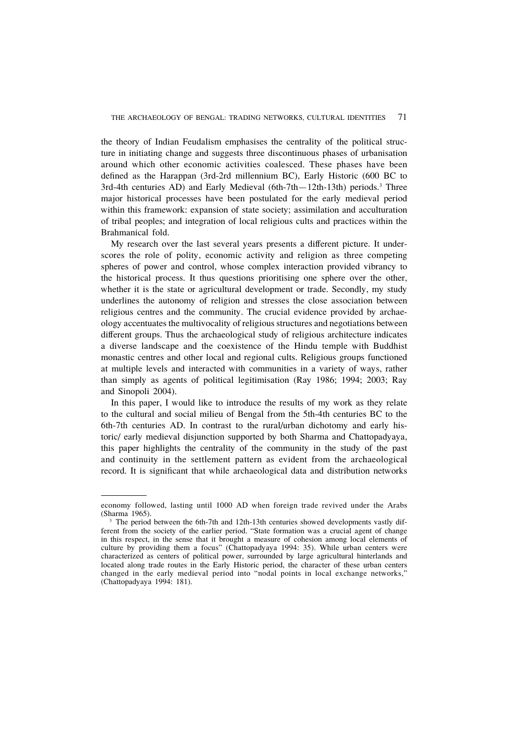the theory of Indian Feudalism emphasises the centrality of the political structure in initiating change and suggests three discontinuous phases of urbanisation around which other economic activities coalesced. These phases have been defined as the Harappan (3rd-2rd millennium BC), Early Historic (600 BC to 3rd-4th centuries AD) and Early Medieval (6th-7th—12th-13th) periods.<sup>3</sup> Three major historical processes have been postulated for the early medieval period within this framework: expansion of state society; assimilation and acculturation of tribal peoples; and integration of local religious cults and practices within the Brahmanical fold.

My research over the last several years presents a different picture. It underscores the role of polity, economic activity and religion as three competing spheres of power and control, whose complex interaction provided vibrancy to the historical process. It thus questions prioritising one sphere over the other, whether it is the state or agricultural development or trade. Secondly, my study underlines the autonomy of religion and stresses the close association between religious centres and the community. The crucial evidence provided by archaeology accentuates the multivocality of religious structures and negotiations between different groups. Thus the archaeological study of religious architecture indicates a diverse landscape and the coexistence of the Hindu temple with Buddhist monastic centres and other local and regional cults. Religious groups functioned at multiple levels and interacted with communities in a variety of ways, rather than simply as agents of political legitimisation (Ray 1986; 1994; 2003; Ray and Sinopoli 2004).

In this paper, I would like to introduce the results of my work as they relate to the cultural and social milieu of Bengal from the 5th-4th centuries BC to the 6th-7th centuries AD. In contrast to the rural/urban dichotomy and early historic/ early medieval disjunction supported by both Sharma and Chattopadyaya, this paper highlights the centrality of the community in the study of the past and continuity in the settlement pattern as evident from the archaeological record. It is significant that while archaeological data and distribution networks

economy followed, lasting until 1000 AD when foreign trade revived under the Arabs (Sharma 1965).

<sup>&</sup>lt;sup>3</sup> The period between the 6th-7th and 12th-13th centuries showed developments vastly different from the society of the earlier period. "State formation was a crucial agent of change in this respect, in the sense that it brought a measure of cohesion among local elements of culture by providing them a focus" (Chattopadyaya 1994: 35). While urban centers were characterized as centers of political power, surrounded by large agricultural hinterlands and located along trade routes in the Early Historic period, the character of these urban centers changed in the early medieval period into "nodal points in local exchange networks," (Chattopadyaya 1994: 181).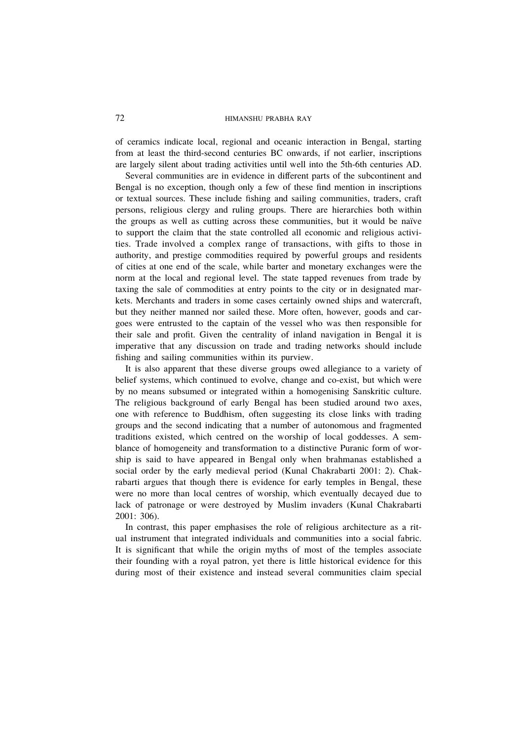of ceramics indicate local, regional and oceanic interaction in Bengal, starting from at least the third-second centuries BC onwards, if not earlier, inscriptions are largely silent about trading activities until well into the 5th-6th centuries AD.

Several communities are in evidence in different parts of the subcontinent and Bengal is no exception, though only a few of these find mention in inscriptions or textual sources. These include fishing and sailing communities, traders, craft persons, religious clergy and ruling groups. There are hierarchies both within the groups as well as cutting across these communities, but it would be naïve to support the claim that the state controlled all economic and religious activities. Trade involved a complex range of transactions, with gifts to those in authority, and prestige commodities required by powerful groups and residents of cities at one end of the scale, while barter and monetary exchanges were the norm at the local and regional level. The state tapped revenues from trade by taxing the sale of commodities at entry points to the city or in designated markets. Merchants and traders in some cases certainly owned ships and watercraft, but they neither manned nor sailed these. More often, however, goods and cargoes were entrusted to the captain of the vessel who was then responsible for their sale and profit. Given the centrality of inland navigation in Bengal it is imperative that any discussion on trade and trading networks should include fishing and sailing communities within its purview.

It is also apparent that these diverse groups owed allegiance to a variety of belief systems, which continued to evolve, change and co-exist, but which were by no means subsumed or integrated within a homogenising Sanskritic culture. The religious background of early Bengal has been studied around two axes, one with reference to Buddhism, often suggesting its close links with trading groups and the second indicating that a number of autonomous and fragmented traditions existed, which centred on the worship of local goddesses. A semblance of homogeneity and transformation to a distinctive Puranic form of worship is said to have appeared in Bengal only when brahmanas established a social order by the early medieval period (Kunal Chakrabarti 2001: 2). Chakrabarti argues that though there is evidence for early temples in Bengal, these were no more than local centres of worship, which eventually decayed due to lack of patronage or were destroyed by Muslim invaders (Kunal Chakrabarti 2001: 306).

In contrast, this paper emphasises the role of religious architecture as a ritual instrument that integrated individuals and communities into a social fabric. It is significant that while the origin myths of most of the temples associate their founding with a royal patron, yet there is little historical evidence for this during most of their existence and instead several communities claim special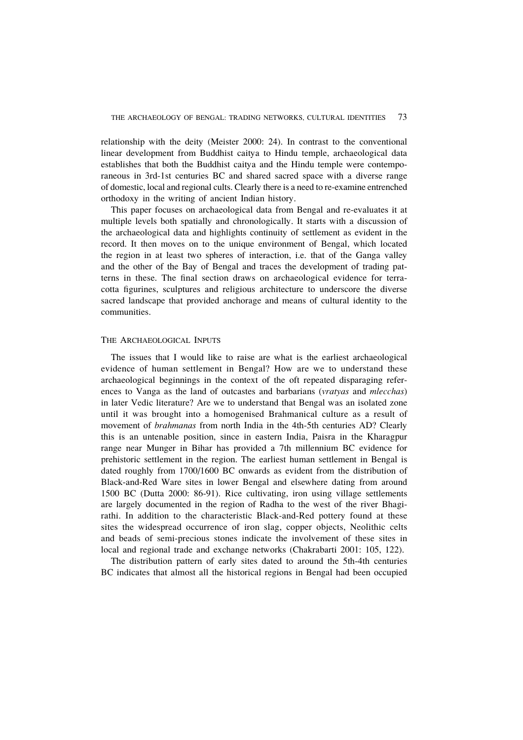relationship with the deity (Meister 2000: 24). In contrast to the conventional linear development from Buddhist caitya to Hindu temple, archaeological data establishes that both the Buddhist caitya and the Hindu temple were contemporaneous in 3rd-1st centuries BC and shared sacred space with a diverse range of domestic, local and regional cults. Clearly there is a need to re-examine entrenched orthodoxy in the writing of ancient Indian history.

This paper focuses on archaeological data from Bengal and re-evaluates it at multiple levels both spatially and chronologically. It starts with a discussion of the archaeological data and highlights continuity of settlement as evident in the record. It then moves on to the unique environment of Bengal, which located the region in at least two spheres of interaction, i.e. that of the Ganga valley and the other of the Bay of Bengal and traces the development of trading patterns in these. The final section draws on archaeological evidence for terracotta figurines, sculptures and religious architecture to underscore the diverse sacred landscape that provided anchorage and means of cultural identity to the communities.

## THE ARCHAEOLOGICAL INPUTS

The issues that I would like to raise are what is the earliest archaeological evidence of human settlement in Bengal? How are we to understand these archaeological beginnings in the context of the oft repeated disparaging references to Vanga as the land of outcastes and barbarians (*vratyas* and *mlecchas*) in later Vedic literature? Are we to understand that Bengal was an isolated zone until it was brought into a homogenised Brahmanical culture as a result of movement of *brahmanas* from north India in the 4th-5th centuries AD? Clearly this is an untenable position, since in eastern India, Paisra in the Kharagpur range near Munger in Bihar has provided a 7th millennium BC evidence for prehistoric settlement in the region. The earliest human settlement in Bengal is dated roughly from 1700/1600 BC onwards as evident from the distribution of Black-and-Red Ware sites in lower Bengal and elsewhere dating from around 1500 BC (Dutta 2000: 86-91). Rice cultivating, iron using village settlements are largely documented in the region of Radha to the west of the river Bhagirathi. In addition to the characteristic Black-and-Red pottery found at these sites the widespread occurrence of iron slag, copper objects, Neolithic celts and beads of semi-precious stones indicate the involvement of these sites in local and regional trade and exchange networks (Chakrabarti 2001: 105, 122).

The distribution pattern of early sites dated to around the 5th-4th centuries BC indicates that almost all the historical regions in Bengal had been occupied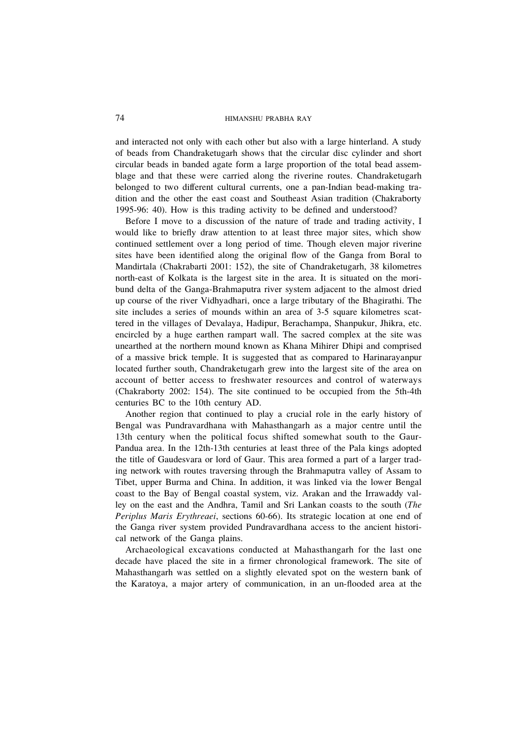and interacted not only with each other but also with a large hinterland. A study of beads from Chandraketugarh shows that the circular disc cylinder and short circular beads in banded agate form a large proportion of the total bead assemblage and that these were carried along the riverine routes. Chandraketugarh belonged to two different cultural currents, one a pan-Indian bead-making tradition and the other the east coast and Southeast Asian tradition (Chakraborty 1995-96: 40). How is this trading activity to be defined and understood?

Before I move to a discussion of the nature of trade and trading activity, I would like to briefly draw attention to at least three major sites, which show continued settlement over a long period of time. Though eleven major riverine sites have been identified along the original flow of the Ganga from Boral to Mandirtala (Chakrabarti 2001: 152), the site of Chandraketugarh, 38 kilometres north-east of Kolkata is the largest site in the area. It is situated on the moribund delta of the Ganga-Brahmaputra river system adjacent to the almost dried up course of the river Vidhyadhari, once a large tributary of the Bhagirathi. The site includes a series of mounds within an area of 3-5 square kilometres scattered in the villages of Devalaya, Hadipur, Berachampa, Shanpukur, Jhikra, etc. encircled by a huge earthen rampart wall. The sacred complex at the site was unearthed at the northern mound known as Khana Mihirer Dhipi and comprised of a massive brick temple. It is suggested that as compared to Harinarayanpur located further south, Chandraketugarh grew into the largest site of the area on account of better access to freshwater resources and control of waterways (Chakraborty 2002: 154). The site continued to be occupied from the 5th-4th centuries BC to the 10th century AD.

Another region that continued to play a crucial role in the early history of Bengal was Pundravardhana with Mahasthangarh as a major centre until the 13th century when the political focus shifted somewhat south to the Gaur-Pandua area. In the 12th-13th centuries at least three of the Pala kings adopted the title of Gaudesvara or lord of Gaur. This area formed a part of a larger trading network with routes traversing through the Brahmaputra valley of Assam to Tibet, upper Burma and China. In addition, it was linked via the lower Bengal coast to the Bay of Bengal coastal system, viz. Arakan and the Irrawaddy valley on the east and the Andhra, Tamil and Sri Lankan coasts to the south (*The Periplus Maris Erythreaei*, sections 60-66). Its strategic location at one end of the Ganga river system provided Pundravardhana access to the ancient historical network of the Ganga plains.

Archaeological excavations conducted at Mahasthangarh for the last one decade have placed the site in a firmer chronological framework. The site of Mahasthangarh was settled on a slightly elevated spot on the western bank of the Karatoya, a major artery of communication, in an un-flooded area at the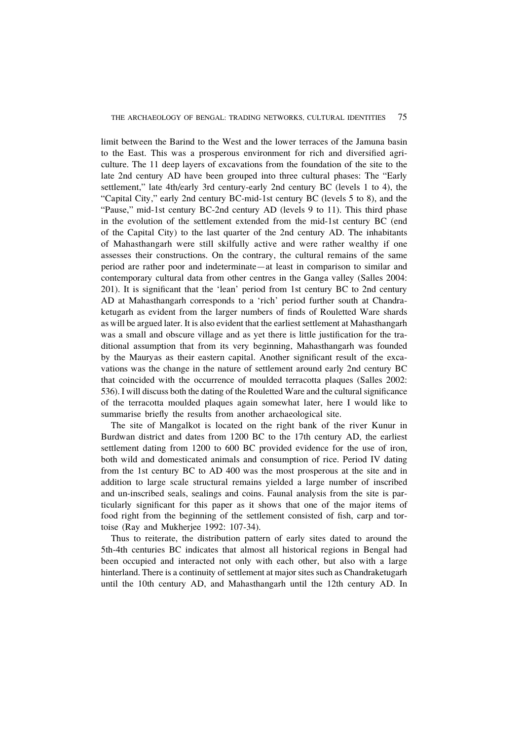limit between the Barind to the West and the lower terraces of the Jamuna basin to the East. This was a prosperous environment for rich and diversified agriculture. The 11 deep layers of excavations from the foundation of the site to the late 2nd century AD have been grouped into three cultural phases: The "Early settlement," late 4th/early 3rd century-early 2nd century BC (levels 1 to 4), the "Capital City," early 2nd century BC-mid-1st century BC (levels 5 to 8), and the "Pause," mid-1st century BC-2nd century AD (levels 9 to 11). This third phase in the evolution of the settlement extended from the mid-1st century BC (end of the Capital City) to the last quarter of the 2nd century AD. The inhabitants of Mahasthangarh were still skilfully active and were rather wealthy if one assesses their constructions. On the contrary, the cultural remains of the same period are rather poor and indeterminate—at least in comparison to similar and contemporary cultural data from other centres in the Ganga valley (Salles 2004: 201). It is significant that the 'lean' period from 1st century BC to 2nd century AD at Mahasthangarh corresponds to a 'rich' period further south at Chandraketugarh as evident from the larger numbers of finds of Rouletted Ware shards as will be argued later. It is also evident that the earliest settlement at Mahasthangarh was a small and obscure village and as yet there is little justification for the traditional assumption that from its very beginning, Mahasthangarh was founded by the Mauryas as their eastern capital. Another significant result of the excavations was the change in the nature of settlement around early 2nd century BC that coincided with the occurrence of moulded terracotta plaques (Salles 2002: 536). I will discuss both the dating of the Rouletted Ware and the cultural significance of the terracotta moulded plaques again somewhat later, here I would like to summarise briefly the results from another archaeological site.

The site of Mangalkot is located on the right bank of the river Kunur in Burdwan district and dates from 1200 BC to the 17th century AD, the earliest settlement dating from 1200 to 600 BC provided evidence for the use of iron, both wild and domesticated animals and consumption of rice. Period IV dating from the 1st century BC to AD 400 was the most prosperous at the site and in addition to large scale structural remains yielded a large number of inscribed and un-inscribed seals, sealings and coins. Faunal analysis from the site is particularly significant for this paper as it shows that one of the major items of food right from the beginning of the settlement consisted of fish, carp and tortoise (Ray and Mukherjee 1992: 107-34).

Thus to reiterate, the distribution pattern of early sites dated to around the 5th-4th centuries BC indicates that almost all historical regions in Bengal had been occupied and interacted not only with each other, but also with a large hinterland. There is a continuity of settlement at major sites such as Chandraketugarh until the 10th century AD, and Mahasthangarh until the 12th century AD. In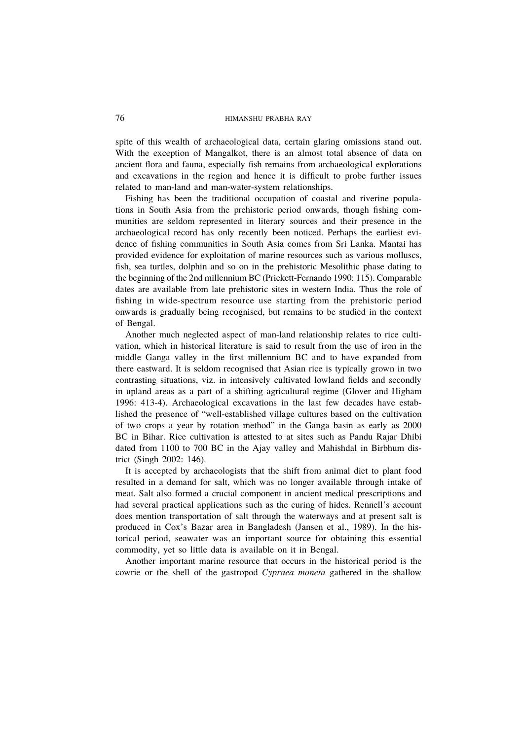spite of this wealth of archaeological data, certain glaring omissions stand out. With the exception of Mangalkot, there is an almost total absence of data on ancient flora and fauna, especially fish remains from archaeological explorations and excavations in the region and hence it is difficult to probe further issues related to man-land and man-water-system relationships.

Fishing has been the traditional occupation of coastal and riverine populations in South Asia from the prehistoric period onwards, though fishing communities are seldom represented in literary sources and their presence in the archaeological record has only recently been noticed. Perhaps the earliest evidence of fishing communities in South Asia comes from Sri Lanka. Mantai has provided evidence for exploitation of marine resources such as various molluscs, fish, sea turtles, dolphin and so on in the prehistoric Mesolithic phase dating to the beginning of the 2nd millennium BC (Prickett-Fernando 1990: 115). Comparable dates are available from late prehistoric sites in western India. Thus the role of fishing in wide-spectrum resource use starting from the prehistoric period onwards is gradually being recognised, but remains to be studied in the context of Bengal.

Another much neglected aspect of man-land relationship relates to rice cultivation, which in historical literature is said to result from the use of iron in the middle Ganga valley in the first millennium BC and to have expanded from there eastward. It is seldom recognised that Asian rice is typically grown in two contrasting situations, viz. in intensively cultivated lowland fields and secondly in upland areas as a part of a shifting agricultural regime (Glover and Higham 1996: 413-4). Archaeological excavations in the last few decades have established the presence of "well-established village cultures based on the cultivation of two crops a year by rotation method" in the Ganga basin as early as 2000 BC in Bihar. Rice cultivation is attested to at sites such as Pandu Rajar Dhibi dated from 1100 to 700 BC in the Ajay valley and Mahishdal in Birbhum district (Singh 2002: 146).

It is accepted by archaeologists that the shift from animal diet to plant food resulted in a demand for salt, which was no longer available through intake of meat. Salt also formed a crucial component in ancient medical prescriptions and had several practical applications such as the curing of hides. Rennell's account does mention transportation of salt through the waterways and at present salt is produced in Cox's Bazar area in Bangladesh (Jansen et al., 1989). In the historical period, seawater was an important source for obtaining this essential commodity, yet so little data is available on it in Bengal.

Another important marine resource that occurs in the historical period is the cowrie or the shell of the gastropod *Cypraea moneta* gathered in the shallow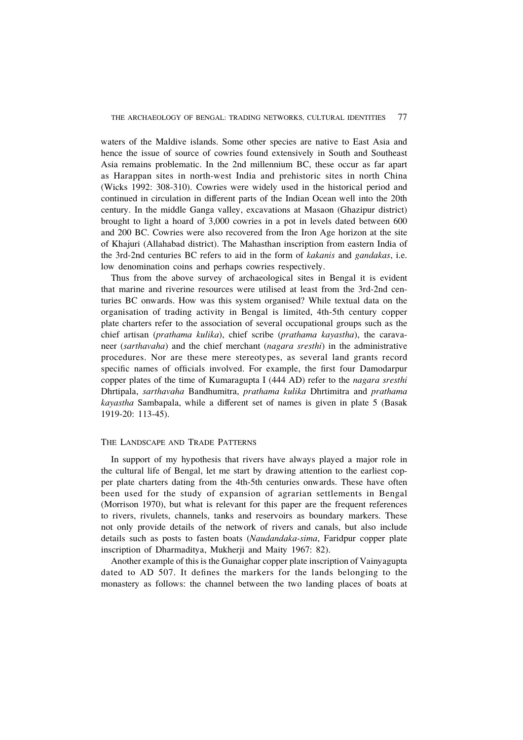waters of the Maldive islands. Some other species are native to East Asia and hence the issue of source of cowries found extensively in South and Southeast Asia remains problematic. In the 2nd millennium BC, these occur as far apart as Harappan sites in north-west India and prehistoric sites in north China (Wicks 1992: 308-310). Cowries were widely used in the historical period and continued in circulation in different parts of the Indian Ocean well into the 20th century. In the middle Ganga valley, excavations at Masaon (Ghazipur district) brought to light a hoard of 3,000 cowries in a pot in levels dated between 600 and 200 BC. Cowries were also recovered from the Iron Age horizon at the site of Khajuri (Allahabad district). The Mahasthan inscription from eastern India of the 3rd-2nd centuries BC refers to aid in the form of *kakanis* and *gandakas*, i.e. low denomination coins and perhaps cowries respectively.

Thus from the above survey of archaeological sites in Bengal it is evident that marine and riverine resources were utilised at least from the 3rd-2nd centuries BC onwards. How was this system organised? While textual data on the organisation of trading activity in Bengal is limited, 4th-5th century copper plate charters refer to the association of several occupational groups such as the chief artisan (*prathama kulika*), chief scribe (*prathama kayastha*), the caravaneer (*sarthavaha*) and the chief merchant (*nagara sresthi*) in the administrative procedures. Nor are these mere stereotypes, as several land grants record specific names of officials involved. For example, the first four Damodarpur copper plates of the time of Kumaragupta I (444 AD) refer to the *nagara sresthi* Dhrtipala, *sarthavaha* Bandhumitra, *prathama kulika* Dhrtimitra and *prathama kayastha* Sambapala, while a different set of names is given in plate 5 (Basak 1919-20: 113-45).

### THE LANDSCAPE AND TRADE PATTERNS

In support of my hypothesis that rivers have always played a major role in the cultural life of Bengal, let me start by drawing attention to the earliest copper plate charters dating from the 4th-5th centuries onwards. These have often been used for the study of expansion of agrarian settlements in Bengal (Morrison 1970), but what is relevant for this paper are the frequent references to rivers, rivulets, channels, tanks and reservoirs as boundary markers. These not only provide details of the network of rivers and canals, but also include details such as posts to fasten boats (*Naudandaka-sima*, Faridpur copper plate inscription of Dharmaditya, Mukherji and Maity 1967: 82).

Another example of this is the Gunaighar copper plate inscription of Vainyagupta dated to AD 507. It defines the markers for the lands belonging to the monastery as follows: the channel between the two landing places of boats at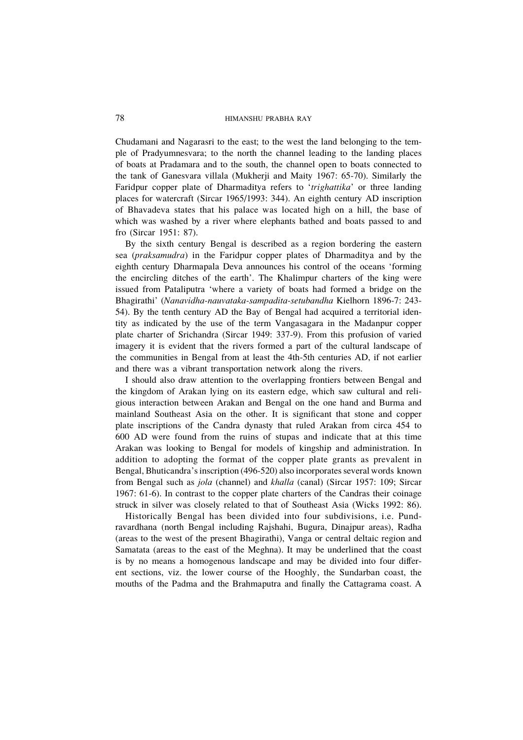Chudamani and Nagarasri to the east; to the west the land belonging to the temple of Pradyumnesvara; to the north the channel leading to the landing places of boats at Pradamara and to the south, the channel open to boats connected to the tank of Ganesvara villala (Mukherji and Maity 1967: 65-70). Similarly the Faridpur copper plate of Dharmaditya refers to '*trighattika*' or three landing places for watercraft (Sircar 1965/1993: 344). An eighth century AD inscription of Bhavadeva states that his palace was located high on a hill, the base of which was washed by a river where elephants bathed and boats passed to and fro (Sircar 1951: 87).

By the sixth century Bengal is described as a region bordering the eastern sea (*praksamudra*) in the Faridpur copper plates of Dharmaditya and by the eighth century Dharmapala Deva announces his control of the oceans 'forming the encircling ditches of the earth'. The Khalimpur charters of the king were issued from Pataliputra 'where a variety of boats had formed a bridge on the Bhagirathi' (*Nanavidha-nauvataka-sampadita-setubandha* Kielhorn 1896-7: 243- 54). By the tenth century AD the Bay of Bengal had acquired a territorial identity as indicated by the use of the term Vangasagara in the Madanpur copper plate charter of Srichandra (Sircar 1949: 337-9). From this profusion of varied imagery it is evident that the rivers formed a part of the cultural landscape of the communities in Bengal from at least the 4th-5th centuries AD, if not earlier and there was a vibrant transportation network along the rivers.

I should also draw attention to the overlapping frontiers between Bengal and the kingdom of Arakan lying on its eastern edge, which saw cultural and religious interaction between Arakan and Bengal on the one hand and Burma and mainland Southeast Asia on the other. It is significant that stone and copper plate inscriptions of the Candra dynasty that ruled Arakan from circa 454 to 600 AD were found from the ruins of stupas and indicate that at this time Arakan was looking to Bengal for models of kingship and administration. In addition to adopting the format of the copper plate grants as prevalent in Bengal, Bhuticandra's inscription (496-520) also incorporates several words known from Bengal such as *jola* (channel) and *khalla* (canal) (Sircar 1957: 109; Sircar 1967: 61-6). In contrast to the copper plate charters of the Candras their coinage struck in silver was closely related to that of Southeast Asia (Wicks 1992: 86).

Historically Bengal has been divided into four subdivisions, i.e. Pundravardhana (north Bengal including Rajshahi, Bugura, Dinajpur areas), Radha (areas to the west of the present Bhagirathi), Vanga or central deltaic region and Samatata (areas to the east of the Meghna). It may be underlined that the coast is by no means a homogenous landscape and may be divided into four different sections, viz. the lower course of the Hooghly, the Sundarban coast, the mouths of the Padma and the Brahmaputra and finally the Cattagrama coast. A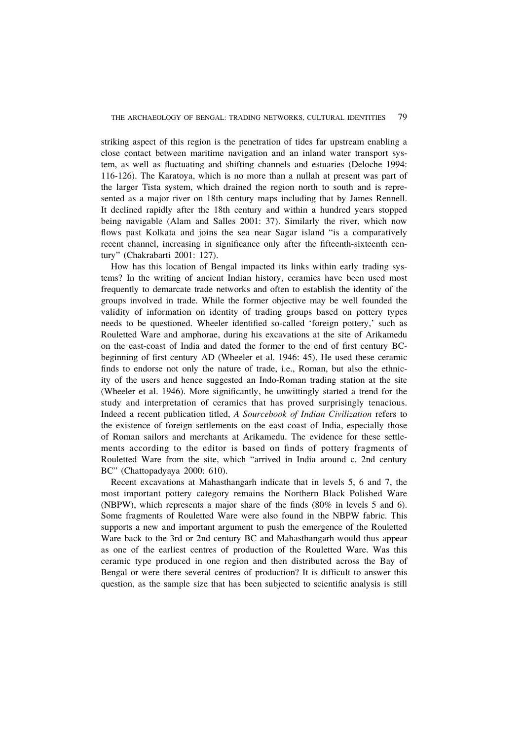striking aspect of this region is the penetration of tides far upstream enabling a close contact between maritime navigation and an inland water transport system, as well as fluctuating and shifting channels and estuaries (Deloche 1994: 116-126). The Karatoya, which is no more than a nullah at present was part of the larger Tista system, which drained the region north to south and is represented as a major river on 18th century maps including that by James Rennell. It declined rapidly after the 18th century and within a hundred years stopped being navigable (Alam and Salles 2001: 37). Similarly the river, which now flows past Kolkata and joins the sea near Sagar island "is a comparatively recent channel, increasing in significance only after the fifteenth-sixteenth century" (Chakrabarti 2001: 127).

How has this location of Bengal impacted its links within early trading systems? In the writing of ancient Indian history, ceramics have been used most frequently to demarcate trade networks and often to establish the identity of the groups involved in trade. While the former objective may be well founded the validity of information on identity of trading groups based on pottery types needs to be questioned. Wheeler identified so-called 'foreign pottery,' such as Rouletted Ware and amphorae, during his excavations at the site of Arikamedu on the east-coast of India and dated the former to the end of first century BCbeginning of first century AD (Wheeler et al. 1946: 45). He used these ceramic finds to endorse not only the nature of trade, i.e., Roman, but also the ethnicity of the users and hence suggested an Indo-Roman trading station at the site (Wheeler et al. 1946). More significantly, he unwittingly started a trend for the study and interpretation of ceramics that has proved surprisingly tenacious. Indeed a recent publication titled, *A Sourcebook of Indian Civilization* refers to the existence of foreign settlements on the east coast of India, especially those of Roman sailors and merchants at Arikamedu. The evidence for these settlements according to the editor is based on finds of pottery fragments of Rouletted Ware from the site, which "arrived in India around c. 2nd century BC" (Chattopadyaya 2000: 610).

Recent excavations at Mahasthangarh indicate that in levels 5, 6 and 7, the most important pottery category remains the Northern Black Polished Ware (NBPW), which represents a major share of the finds (80% in levels 5 and 6). Some fragments of Rouletted Ware were also found in the NBPW fabric. This supports a new and important argument to push the emergence of the Rouletted Ware back to the 3rd or 2nd century BC and Mahasthangarh would thus appear as one of the earliest centres of production of the Rouletted Ware. Was this ceramic type produced in one region and then distributed across the Bay of Bengal or were there several centres of production? It is difficult to answer this question, as the sample size that has been subjected to scientific analysis is still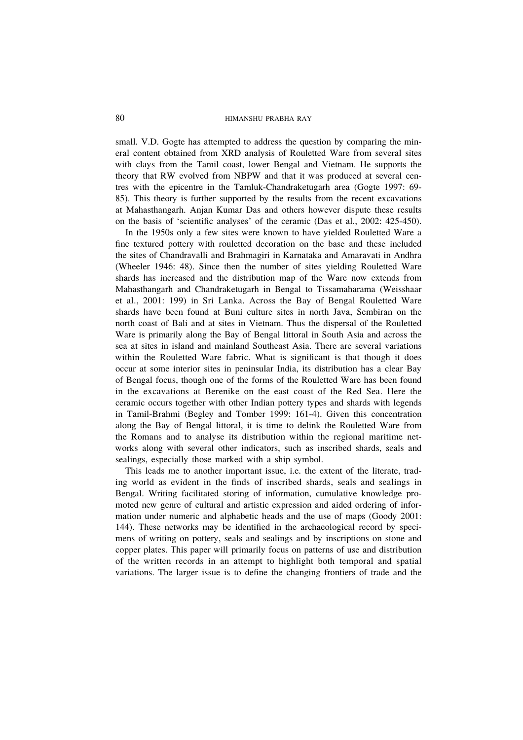small. V.D. Gogte has attempted to address the question by comparing the mineral content obtained from XRD analysis of Rouletted Ware from several sites with clays from the Tamil coast, lower Bengal and Vietnam. He supports the theory that RW evolved from NBPW and that it was produced at several centres with the epicentre in the Tamluk-Chandraketugarh area (Gogte 1997: 69- 85). This theory is further supported by the results from the recent excavations at Mahasthangarh. Anjan Kumar Das and others however dispute these results on the basis of 'scientific analyses' of the ceramic (Das et al., 2002: 425-450).

In the 1950s only a few sites were known to have yielded Rouletted Ware a fine textured pottery with rouletted decoration on the base and these included the sites of Chandravalli and Brahmagiri in Karnataka and Amaravati in Andhra (Wheeler 1946: 48). Since then the number of sites yielding Rouletted Ware shards has increased and the distribution map of the Ware now extends from Mahasthangarh and Chandraketugarh in Bengal to Tissamaharama (Weisshaar et al., 2001: 199) in Sri Lanka. Across the Bay of Bengal Rouletted Ware shards have been found at Buni culture sites in north Java, Sembiran on the north coast of Bali and at sites in Vietnam. Thus the dispersal of the Rouletted Ware is primarily along the Bay of Bengal littoral in South Asia and across the sea at sites in island and mainland Southeast Asia. There are several variations within the Rouletted Ware fabric. What is significant is that though it does occur at some interior sites in peninsular India, its distribution has a clear Bay of Bengal focus, though one of the forms of the Rouletted Ware has been found in the excavations at Berenike on the east coast of the Red Sea. Here the ceramic occurs together with other Indian pottery types and shards with legends in Tamil-Brahmi (Begley and Tomber 1999: 161-4). Given this concentration along the Bay of Bengal littoral, it is time to delink the Rouletted Ware from the Romans and to analyse its distribution within the regional maritime networks along with several other indicators, such as inscribed shards, seals and sealings, especially those marked with a ship symbol.

This leads me to another important issue, i.e. the extent of the literate, trading world as evident in the finds of inscribed shards, seals and sealings in Bengal. Writing facilitated storing of information, cumulative knowledge promoted new genre of cultural and artistic expression and aided ordering of information under numeric and alphabetic heads and the use of maps (Goody 2001: 144). These networks may be identified in the archaeological record by specimens of writing on pottery, seals and sealings and by inscriptions on stone and copper plates. This paper will primarily focus on patterns of use and distribution of the written records in an attempt to highlight both temporal and spatial variations. The larger issue is to define the changing frontiers of trade and the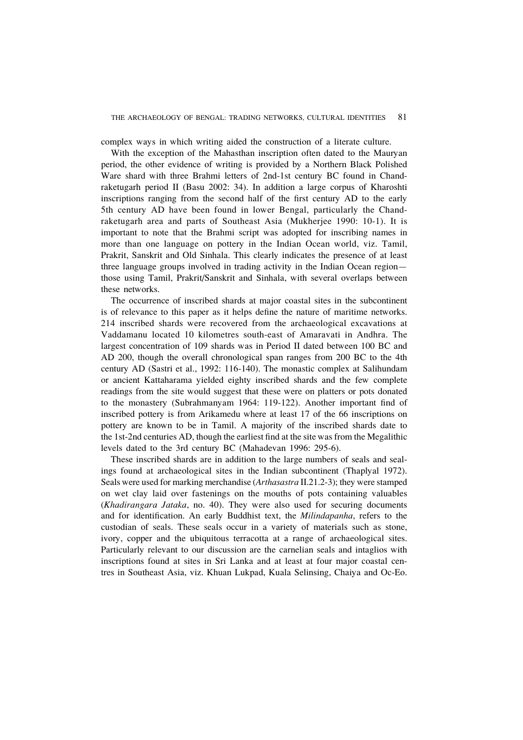complex ways in which writing aided the construction of a literate culture.

With the exception of the Mahasthan inscription often dated to the Mauryan period, the other evidence of writing is provided by a Northern Black Polished Ware shard with three Brahmi letters of 2nd-1st century BC found in Chandraketugarh period II (Basu 2002: 34). In addition a large corpus of Kharoshti inscriptions ranging from the second half of the first century AD to the early 5th century AD have been found in lower Bengal, particularly the Chandraketugarh area and parts of Southeast Asia (Mukherjee 1990: 10-1). It is important to note that the Brahmi script was adopted for inscribing names in more than one language on pottery in the Indian Ocean world, viz. Tamil, Prakrit, Sanskrit and Old Sinhala. This clearly indicates the presence of at least three language groups involved in trading activity in the Indian Ocean region those using Tamil, Prakrit/Sanskrit and Sinhala, with several overlaps between these networks.

The occurrence of inscribed shards at major coastal sites in the subcontinent is of relevance to this paper as it helps define the nature of maritime networks. 214 inscribed shards were recovered from the archaeological excavations at Vaddamanu located 10 kilometres south-east of Amaravati in Andhra. The largest concentration of 109 shards was in Period II dated between 100 BC and AD 200, though the overall chronological span ranges from 200 BC to the 4th century AD (Sastri et al., 1992: 116-140). The monastic complex at Salihundam or ancient Kattaharama yielded eighty inscribed shards and the few complete readings from the site would suggest that these were on platters or pots donated to the monastery (Subrahmanyam 1964: 119-122). Another important find of inscribed pottery is from Arikamedu where at least 17 of the 66 inscriptions on pottery are known to be in Tamil. A majority of the inscribed shards date to the 1st-2nd centuries AD, though the earliest find at the site was from the Megalithic levels dated to the 3rd century BC (Mahadevan 1996: 295-6).

These inscribed shards are in addition to the large numbers of seals and sealings found at archaeological sites in the Indian subcontinent (Thaplyal 1972). Seals were used for marking merchandise (*Arthasastra* II.21.2-3); they were stamped on wet clay laid over fastenings on the mouths of pots containing valuables (*Khadirangara Jataka*, no. 40). They were also used for securing documents and for identification. An early Buddhist text, the *Milindapanha*, refers to the custodian of seals. These seals occur in a variety of materials such as stone, ivory, copper and the ubiquitous terracotta at a range of archaeological sites. Particularly relevant to our discussion are the carnelian seals and intaglios with inscriptions found at sites in Sri Lanka and at least at four major coastal centres in Southeast Asia, viz. Khuan Lukpad, Kuala Selinsing, Chaiya and Oc-Eo.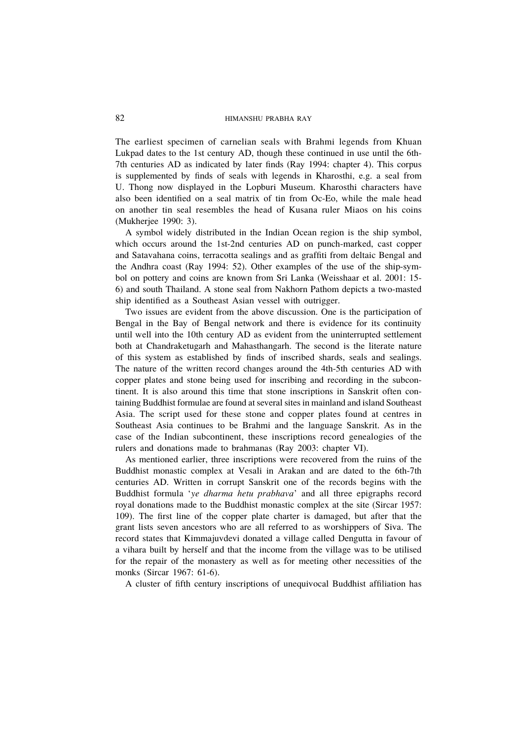The earliest specimen of carnelian seals with Brahmi legends from Khuan Lukpad dates to the 1st century AD, though these continued in use until the 6th-7th centuries AD as indicated by later finds (Ray 1994: chapter 4). This corpus is supplemented by finds of seals with legends in Kharosthi, e.g. a seal from U. Thong now displayed in the Lopburi Museum. Kharosthi characters have also been identified on a seal matrix of tin from Oc-Eo, while the male head on another tin seal resembles the head of Kusana ruler Miaos on his coins (Mukherjee 1990: 3).

A symbol widely distributed in the Indian Ocean region is the ship symbol, which occurs around the 1st-2nd centuries AD on punch-marked, cast copper and Satavahana coins, terracotta sealings and as graffiti from deltaic Bengal and the Andhra coast (Ray 1994: 52). Other examples of the use of the ship-symbol on pottery and coins are known from Sri Lanka (Weisshaar et al. 2001: 15- 6) and south Thailand. A stone seal from Nakhorn Pathom depicts a two-masted ship identified as a Southeast Asian vessel with outrigger.

Two issues are evident from the above discussion. One is the participation of Bengal in the Bay of Bengal network and there is evidence for its continuity until well into the 10th century AD as evident from the uninterrupted settlement both at Chandraketugarh and Mahasthangarh. The second is the literate nature of this system as established by finds of inscribed shards, seals and sealings. The nature of the written record changes around the 4th-5th centuries AD with copper plates and stone being used for inscribing and recording in the subcontinent. It is also around this time that stone inscriptions in Sanskrit often containing Buddhist formulae are found at several sites in mainland and island Southeast Asia. The script used for these stone and copper plates found at centres in Southeast Asia continues to be Brahmi and the language Sanskrit. As in the case of the Indian subcontinent, these inscriptions record genealogies of the rulers and donations made to brahmanas (Ray 2003: chapter VI).

As mentioned earlier, three inscriptions were recovered from the ruins of the Buddhist monastic complex at Vesali in Arakan and are dated to the 6th-7th centuries AD. Written in corrupt Sanskrit one of the records begins with the Buddhist formula '*ye dharma hetu prabhava*' and all three epigraphs record royal donations made to the Buddhist monastic complex at the site (Sircar 1957: 109). The first line of the copper plate charter is damaged, but after that the grant lists seven ancestors who are all referred to as worshippers of Siva. The record states that Kimmajuvdevi donated a village called Dengutta in favour of a vihara built by herself and that the income from the village was to be utilised for the repair of the monastery as well as for meeting other necessities of the monks (Sircar 1967: 61-6).

A cluster of fifth century inscriptions of unequivocal Buddhist affiliation has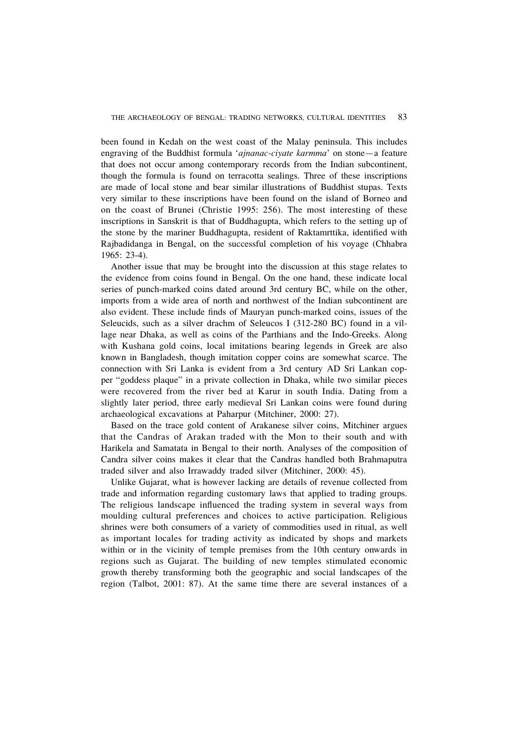been found in Kedah on the west coast of the Malay peninsula. This includes engraving of the Buddhist formula '*ajnanac-ciyate karmma*' on stone—a feature that does not occur among contemporary records from the Indian subcontinent, though the formula is found on terracotta sealings. Three of these inscriptions are made of local stone and bear similar illustrations of Buddhist stupas. Texts very similar to these inscriptions have been found on the island of Borneo and on the coast of Brunei (Christie 1995: 256). The most interesting of these inscriptions in Sanskrit is that of Buddhagupta, which refers to the setting up of the stone by the mariner Buddhagupta, resident of Raktamrttika, identified with Rajbadidanga in Bengal, on the successful completion of his voyage (Chhabra 1965: 23-4).

Another issue that may be brought into the discussion at this stage relates to the evidence from coins found in Bengal. On the one hand, these indicate local series of punch-marked coins dated around 3rd century BC, while on the other, imports from a wide area of north and northwest of the Indian subcontinent are also evident. These include finds of Mauryan punch-marked coins, issues of the Seleucids, such as a silver drachm of Seleucos I (312-280 BC) found in a village near Dhaka, as well as coins of the Parthians and the Indo-Greeks. Along with Kushana gold coins, local imitations bearing legends in Greek are also known in Bangladesh, though imitation copper coins are somewhat scarce. The connection with Sri Lanka is evident from a 3rd century AD Sri Lankan copper "goddess plaque" in a private collection in Dhaka, while two similar pieces were recovered from the river bed at Karur in south India. Dating from a slightly later period, three early medieval Sri Lankan coins were found during archaeological excavations at Paharpur (Mitchiner, 2000: 27).

Based on the trace gold content of Arakanese silver coins, Mitchiner argues that the Candras of Arakan traded with the Mon to their south and with Harikela and Samatata in Bengal to their north. Analyses of the composition of Candra silver coins makes it clear that the Candras handled both Brahmaputra traded silver and also Irrawaddy traded silver (Mitchiner, 2000: 45).

Unlike Gujarat, what is however lacking are details of revenue collected from trade and information regarding customary laws that applied to trading groups. The religious landscape influenced the trading system in several ways from moulding cultural preferences and choices to active participation. Religious shrines were both consumers of a variety of commodities used in ritual, as well as important locales for trading activity as indicated by shops and markets within or in the vicinity of temple premises from the 10th century onwards in regions such as Gujarat. The building of new temples stimulated economic growth thereby transforming both the geographic and social landscapes of the region (Talbot, 2001: 87). At the same time there are several instances of a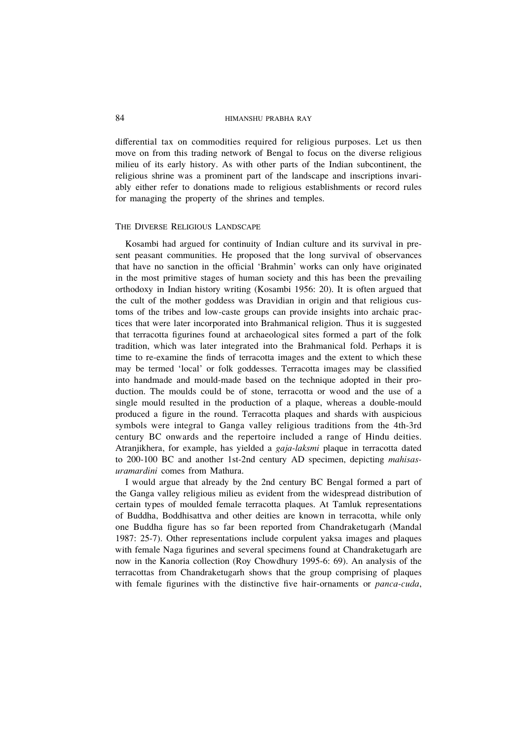differential tax on commodities required for religious purposes. Let us then move on from this trading network of Bengal to focus on the diverse religious milieu of its early history. As with other parts of the Indian subcontinent, the religious shrine was a prominent part of the landscape and inscriptions invariably either refer to donations made to religious establishments or record rules for managing the property of the shrines and temples.

### THE DIVERSE RELIGIOUS LANDSCAPE

Kosambi had argued for continuity of Indian culture and its survival in present peasant communities. He proposed that the long survival of observances that have no sanction in the official 'Brahmin' works can only have originated in the most primitive stages of human society and this has been the prevailing orthodoxy in Indian history writing (Kosambi 1956: 20). It is often argued that the cult of the mother goddess was Dravidian in origin and that religious customs of the tribes and low-caste groups can provide insights into archaic practices that were later incorporated into Brahmanical religion. Thus it is suggested that terracotta figurines found at archaeological sites formed a part of the folk tradition, which was later integrated into the Brahmanical fold. Perhaps it is time to re-examine the finds of terracotta images and the extent to which these may be termed 'local' or folk goddesses. Terracotta images may be classified into handmade and mould-made based on the technique adopted in their production. The moulds could be of stone, terracotta or wood and the use of a single mould resulted in the production of a plaque, whereas a double-mould produced a figure in the round. Terracotta plaques and shards with auspicious symbols were integral to Ganga valley religious traditions from the 4th-3rd century BC onwards and the repertoire included a range of Hindu deities. Atranjikhera, for example, has yielded a *gaja-laksmi* plaque in terracotta dated to 200-100 BC and another 1st-2nd century AD specimen, depicting *mahisasuramardini* comes from Mathura.

I would argue that already by the 2nd century BC Bengal formed a part of the Ganga valley religious milieu as evident from the widespread distribution of certain types of moulded female terracotta plaques. At Tamluk representations of Buddha, Boddhisattva and other deities are known in terracotta, while only one Buddha figure has so far been reported from Chandraketugarh (Mandal 1987: 25-7). Other representations include corpulent yaksa images and plaques with female Naga figurines and several specimens found at Chandraketugarh are now in the Kanoria collection (Roy Chowdhury 1995-6: 69). An analysis of the terracottas from Chandraketugarh shows that the group comprising of plaques with female figurines with the distinctive five hair-ornaments or *panca-cuda*,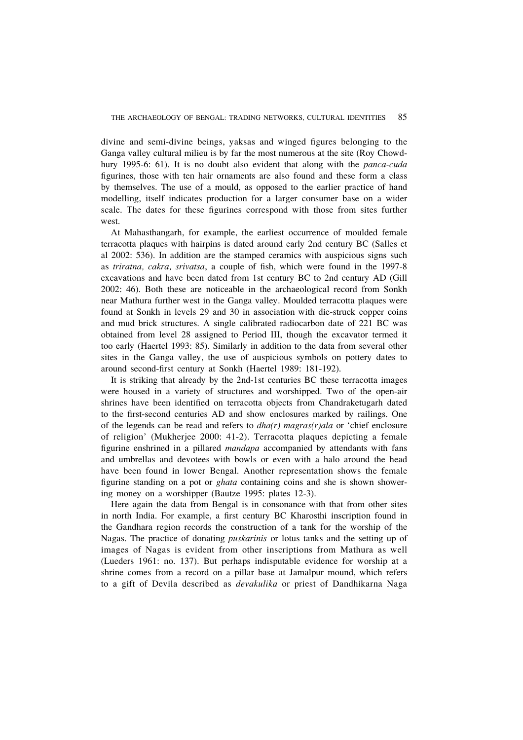divine and semi-divine beings, yaksas and winged figures belonging to the Ganga valley cultural milieu is by far the most numerous at the site (Roy Chowdhury 1995-6: 61). It is no doubt also evident that along with the *panca-cuda* figurines, those with ten hair ornaments are also found and these form a class by themselves. The use of a mould, as opposed to the earlier practice of hand modelling, itself indicates production for a larger consumer base on a wider scale. The dates for these figurines correspond with those from sites further west.

At Mahasthangarh, for example, the earliest occurrence of moulded female terracotta plaques with hairpins is dated around early 2nd century BC (Salles et al 2002: 536). In addition are the stamped ceramics with auspicious signs such as *triratna, cakra, srivatsa*, a couple of fish, which were found in the 1997-8 excavations and have been dated from 1st century BC to 2nd century AD (Gill 2002: 46). Both these are noticeable in the archaeological record from Sonkh near Mathura further west in the Ganga valley. Moulded terracotta plaques were found at Sonkh in levels 29 and 30 in association with die-struck copper coins and mud brick structures. A single calibrated radiocarbon date of 221 BC was obtained from level 28 assigned to Period III, though the excavator termed it too early (Haertel 1993: 85). Similarly in addition to the data from several other sites in the Ganga valley, the use of auspicious symbols on pottery dates to around second-first century at Sonkh (Haertel 1989: 181-192).

It is striking that already by the 2nd-1st centuries BC these terracotta images were housed in a variety of structures and worshipped. Two of the open-air shrines have been identified on terracotta objects from Chandraketugarh dated to the first-second centuries AD and show enclosures marked by railings. One of the legends can be read and refers to *dha(r) magras(r)ala* or 'chief enclosure of religion' (Mukherjee 2000: 41-2). Terracotta plaques depicting a female figurine enshrined in a pillared *mandapa* accompanied by attendants with fans and umbrellas and devotees with bowls or even with a halo around the head have been found in lower Bengal. Another representation shows the female figurine standing on a pot or *ghata* containing coins and she is shown showering money on a worshipper (Bautze 1995: plates 12-3).

Here again the data from Bengal is in consonance with that from other sites in north India. For example, a first century BC Kharosthi inscription found in the Gandhara region records the construction of a tank for the worship of the Nagas. The practice of donating *puskarinis* or lotus tanks and the setting up of images of Nagas is evident from other inscriptions from Mathura as well (Lueders 1961: no. 137). But perhaps indisputable evidence for worship at a shrine comes from a record on a pillar base at Jamalpur mound, which refers to a gift of Devila described as *devakulika* or priest of Dandhikarna Naga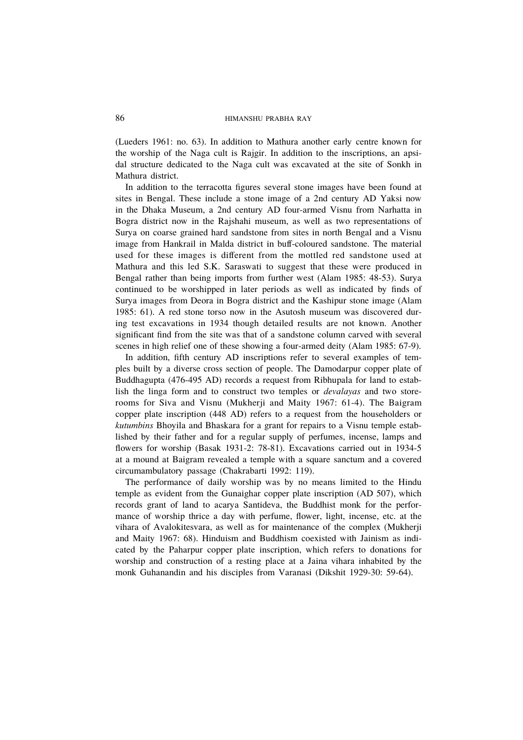(Lueders 1961: no. 63). In addition to Mathura another early centre known for the worship of the Naga cult is Rajgir. In addition to the inscriptions, an apsidal structure dedicated to the Naga cult was excavated at the site of Sonkh in Mathura district.

In addition to the terracotta figures several stone images have been found at sites in Bengal. These include a stone image of a 2nd century AD Yaksi now in the Dhaka Museum, a 2nd century AD four-armed Visnu from Narhatta in Bogra district now in the Rajshahi museum, as well as two representations of Surya on coarse grained hard sandstone from sites in north Bengal and a Visnu image from Hankrail in Malda district in buff-coloured sandstone. The material used for these images is different from the mottled red sandstone used at Mathura and this led S.K. Saraswati to suggest that these were produced in Bengal rather than being imports from further west (Alam 1985: 48-53). Surya continued to be worshipped in later periods as well as indicated by finds of Surya images from Deora in Bogra district and the Kashipur stone image (Alam 1985: 61). A red stone torso now in the Asutosh museum was discovered during test excavations in 1934 though detailed results are not known. Another significant find from the site was that of a sandstone column carved with several scenes in high relief one of these showing a four-armed deity (Alam 1985: 67-9).

In addition, fifth century AD inscriptions refer to several examples of temples built by a diverse cross section of people. The Damodarpur copper plate of Buddhagupta (476-495 AD) records a request from Ribhupala for land to establish the linga form and to construct two temples or *devalayas* and two storerooms for Siva and Visnu (Mukherji and Maity 1967: 61-4). The Baigram copper plate inscription (448 AD) refers to a request from the householders or *kutumbins* Bhoyila and Bhaskara for a grant for repairs to a Visnu temple established by their father and for a regular supply of perfumes, incense, lamps and flowers for worship (Basak 1931-2: 78-81). Excavations carried out in 1934-5 at a mound at Baigram revealed a temple with a square sanctum and a covered circumambulatory passage (Chakrabarti 1992: 119).

The performance of daily worship was by no means limited to the Hindu temple as evident from the Gunaighar copper plate inscription (AD 507), which records grant of land to acarya Santideva, the Buddhist monk for the performance of worship thrice a day with perfume, flower, light, incense, etc. at the vihara of Avalokitesvara, as well as for maintenance of the complex (Mukherji and Maity 1967: 68). Hinduism and Buddhism coexisted with Jainism as indicated by the Paharpur copper plate inscription, which refers to donations for worship and construction of a resting place at a Jaina vihara inhabited by the monk Guhanandin and his disciples from Varanasi (Dikshit 1929-30: 59-64).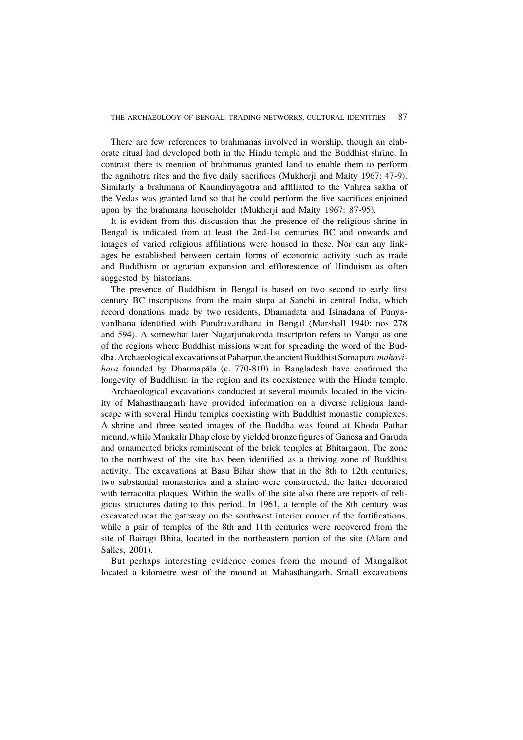There are few references to brahmanas involved in worship, though an elaborate ritual had developed both in the Hindu temple and the Buddhist shrine. In contrast there is mention of brahmanas granted land to enable them to perform the agnihotra rites and the five daily sacrifices (Mukherji and Maity 1967: 47-9). Similarly a brahmana of Kaundinyagotra and affiliated to the Vahrca sakha of the Vedas was granted land so that he could perform the five sacrifices enjoined upon by the brahmana householder (Mukherji and Maity 1967: 87-95).

It is evident from this discussion that the presence of the religious shrine in Bengal is indicated from at least the 2nd-1st centuries BC and onwards and images of varied religious affiliations were housed in these. Nor can any linkages be established between certain forms of economic activity such as trade and Buddhism or agrarian expansion and efflorescence of Hinduism as often suggested by historians.

The presence of Buddhism in Bengal is based on two second to early first century BC inscriptions from the main stupa at Sanchi in central India, which record donations made by two residents, Dhamadata and Isinadana of Punyavardhana identified with Pundravardhana in Bengal (Marshall 1940: nos 278 and 594). A somewhat later Nagarjunakonda inscription refers to Vanga as one of the regions where Buddhist missions went for spreading the word of the Buddha.ArchaeologicalexcavationsatPaharpur,theancientBuddhistSomapura *mahavihara* founded by Dharmapala (c. 770-810) in Bangladesh have confirmed the longevity of Buddhism in the region and its coexistence with the Hindu temple.

Archaeological excavations conducted at several mounds located in the vicinity of Mahasthangarh have provided information on a diverse religious landscape with several Hindu temples coexisting with Buddhist monastic complexes. A shrine and three seated images of the Buddha was found at Khoda Pathar mound, while Mankalir Dhap close by yielded bronze figures of Ganesa and Garuda and ornamented bricks reminiscent of the brick temples at Bhitargaon. The zone to the northwest of the site has been identified as a thriving zone of Buddhist activity. The excavations at Basu Bihar show that in the 8th to 12th centuries, two substantial monasteries and a shrine were constructed, the latter decorated with terracotta plaques. Within the walls of the site also there are reports of religious structures dating to this period. In 1961, a temple of the 8th century was excavated near the gateway on the southwest interior corner of the fortifications, while a pair of temples of the 8th and 11th centuries were recovered from the site of Bairagi Bhita, located in the northeastern portion of the site (Alam and Salles, 2001).

But perhaps interesting evidence comes from the mound of Mangalkot located a kilometre west of the mound at Mahasthangarh. Small excavations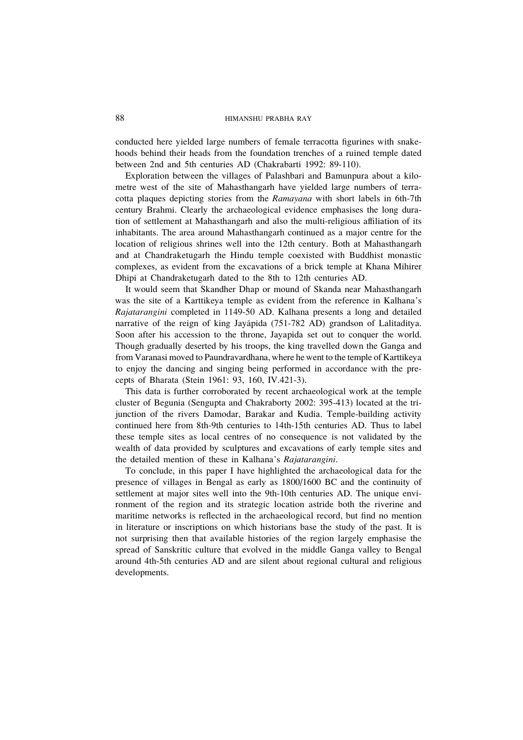conducted here yielded large numbers of female terracotta figurines with snakehoods behind their heads from the foundation trenches of a ruined temple dated between 2nd and 5th centuries AD (Chakrabarti 1992: 89-110).

Exploration between the villages of Palashbari and Bamunpura about a kilometre west of the site of Mahasthangarh have yielded large numbers of terracotta plaques depicting stories from the *Ramayana* with short labels in 6th-7th century Brahmi. Clearly the archaeological evidence emphasises the long duration of settlement at Mahasthangarh and also the multi-religious affiliation of its inhabitants. The area around Mahasthangarh continued as a major centre for the location of religious shrines well into the 12th century. Both at Mahasthangarh and at Chandraketugarh the Hindu temple coexisted with Buddhist monastic complexes, as evident from the excavations of a brick temple at Khana Mihirer Dhipi at Chandraketugarh dated to the 8th to 12th centuries AD.

It would seem that Skandher Dhap or mound of Skanda near Mahasthangarh was the site of a Karttikeya temple as evident from the reference in Kalhana's *Rajatarangini* completed in 1149-50 AD. Kalhana presents a long and detailed narrative of the reign of king Jayāpīda (751-782 AD) grandson of Lalitaditya. Soon after his accession to the throne, Jayapida set out to conquer the world. Though gradually deserted by his troops, the king travelled down the Ganga and from Varanasi moved to Paundravardhana, where he went to the temple of Karttikeya to enjoy the dancing and singing being performed in accordance with the precepts of Bharata (Stein 1961: 93, 160, IV.421-3).

This data is further corroborated by recent archaeological work at the temple cluster of Begunia (Sengupta and Chakraborty 2002: 395-413) located at the trijunction of the rivers Damodar, Barakar and Kudia. Temple-building activity continued here from 8th-9th centuries to 14th-15th centuries AD. Thus to label these temple sites as local centres of no consequence is not validated by the wealth of data provided by sculptures and excavations of early temple sites and the detailed mention of these in Kalhana's *Rajatarangini*.

To conclude, in this paper I have highlighted the archaeological data for the presence of villages in Bengal as early as 1800/1600 BC and the continuity of settlement at major sites well into the 9th-10th centuries AD. The unique environment of the region and its strategic location astride both the riverine and maritime networks is reflected in the archaeological record, but find no mention in literature or inscriptions on which historians base the study of the past. It is not surprising then that available histories of the region largely emphasise the spread of Sanskritic culture that evolved in the middle Ganga valley to Bengal around 4th-5th centuries AD and are silent about regional cultural and religious developments.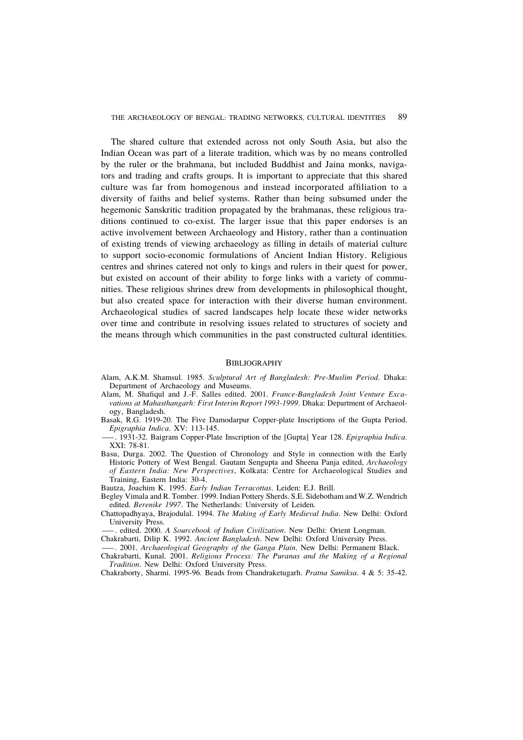The shared culture that extended across not only South Asia, but also the Indian Ocean was part of a literate tradition, which was by no means controlled by the ruler or the brahmana, but included Buddhist and Jaina monks, navigators and trading and crafts groups. It is important to appreciate that this shared culture was far from homogenous and instead incorporated affiliation to a diversity of faiths and belief systems. Rather than being subsumed under the hegemonic Sanskritic tradition propagated by the brahmanas, these religious traditions continued to co-exist. The larger issue that this paper endorses is an active involvement between Archaeology and History, rather than a continuation of existing trends of viewing archaeology as filling in details of material culture to support socio-economic formulations of Ancient Indian History. Religious centres and shrines catered not only to kings and rulers in their quest for power, but existed on account of their ability to forge links with a variety of communities. These religious shrines drew from developments in philosophical thought, but also created space for interaction with their diverse human environment. Archaeological studies of sacred landscapes help locate these wider networks over time and contribute in resolving issues related to structures of society and the means through which communities in the past constructed cultural identities.

#### **BIBLIOGRAPHY**

- Alam, A.K.M. Shamsul. 1985. *Sculptural Art of Bangladesh: Pre-Muslim Period*. Dhaka: Department of Archaeology and Museums.
- Alam, M. Shafiqul and J.-F. Salles edited. 2001. *France-Bangladesh Joint Venture Excavations at Mahasthangarh: First Interim Report 1993-1999*. Dhaka: Department of Archaeology, Bangladesh.
- Basak, R.G. 1919-20. The Five Damodarpur Copper-plate Inscriptions of the Gupta Period. *Epigraphia Indica*. XV: 113-145.
- ——. 1931-32. Baigram Copper-Plate Inscription of the [Gupta] Year 128. *Epigraphia Indica.* XXI: 78-81.
- Basu, Durga. 2002. The Question of Chronology and Style in connection with the Early Historic Pottery of West Bengal. Gautam Sengupta and Sheena Panja edited, *Archaeology of Eastern India: New Perspectives*, Kolkata: Centre for Archaeological Studies and Training, Eastern India: 30-4.
- Bautza, Joachim K. 1995. *Early Indian Terracottas*. Leiden: E.J. Brill.
- Begley Vimala and R. Tomber. 1999. Indian Pottery Sherds. S.E. Sidebotham and W.Z. Wendrich edited. *Berenike 1997*. The Netherlands: University of Leiden.
- Chattopadhyaya, Brajodulal. 1994. *The Making of Early Medieval India*. New Delhi: Oxford University Press.
- ——. edited. 2000. *A Sourcebook of Indian Civilization*. New Delhi: Orient Longman.
- Chakrabarti, Dilip K. 1992. *Ancient Bangladesh*. New Delhi: Oxford University Press.
- ——. 2001. *Archaeological Geography of the Ganga Plain*. New Delhi: Permanent Black.
- Chakrabarti, Kunal. 2001. *Religious Process: The Puranas and the Making of a Regional Tradition*. New Delhi: Oxford University Press.
- Chakraborty, Sharmi. 1995-96. Beads from Chandraketugarh. *Pratna Samiksa*. 4 & 5: 35-42.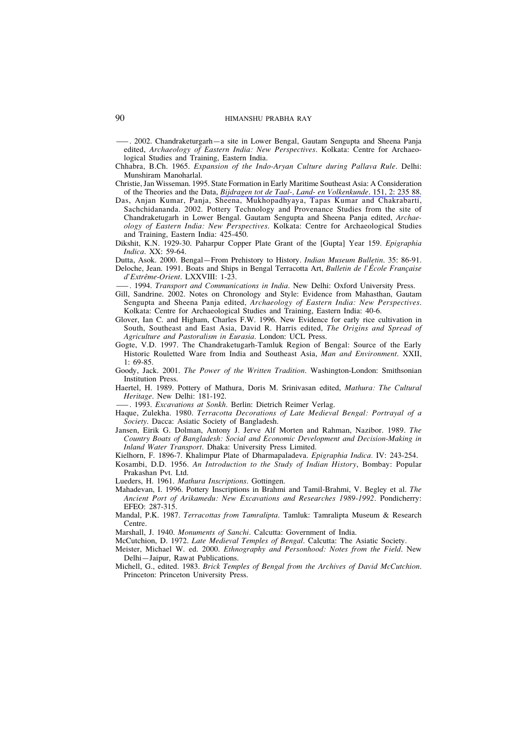——. 2002. Chandraketurgarh—a site in Lower Bengal, Gautam Sengupta and Sheena Panja edited, *Archaeology of Eastern India: New Perspectives*. Kolkata: Centre for Archaeological Studies and Training, Eastern India.

- Chhabra, B.Ch. 1965. *Expansion of the Indo-Aryan Culture during Pallava Rule*. Delhi: Munshiram Manoharlal.
- Christie, Jan Wisseman. 1995. State Formation in Early Maritime Southeast Asia: A Consideration of the Theories and the Data, *[Bijdragen tot de Taal-, Land- en Volkenkunde](http://www.ingentaconnect.com/content/external-references?article=0006-2294()151L.235[aid=3299564])*. 151, 2: 235 88.
- Das, Anjan Kumar, Panja, Sheena, Mukhopadhyaya, Tapas Kumar and Chakrabarti, Sachchidananda. 2002. Pottery Technology and Provenance Studies from the site of Chandraketugarh in Lower Bengal. Gautam Sengupta and Sheena Panja edited, *Archaeology of Eastern India: New Perspectives*. Kolkata: Centre for Archaeological Studies and Training, Eastern India: 425-450.
- Dikshit, K.N. 1929-30. Paharpur Copper Plate Grant of the [Gupta] Year 159. *Epigraphia Indica*. XX: 59-64.
- Dutta, Asok. 2000. Bengal—From Prehistory to History. *Indian Museum Bulletin*. 35: 86-91.
- Deloche, Jean. 1991. Boats and Ships in Bengal Terracotta Art, *Bulletin de l'École Française d'Extrême-Orient*. LXXVIII: 1-23.
- ——. 1994. *Transport and Communications in India*. New Delhi: Oxford University Press.
- Gill, Sandrine. 2002. Notes on Chronology and Style: Evidence from Mahasthan, Gautam Sengupta and Sheena Panja edited, *Archaeology of Eastern India: New Perspectives*. Kolkata: Centre for Archaeological Studies and Training, Eastern India: 40-6.
- Glover, Ian C. and Higham, Charles F.W. 1996. New Evidence for early rice cultivation in South, Southeast and East Asia, David R. Harris edited, *The Origins and Spread of Agriculture and Pastoralism in Eurasia*. London: UCL Press.
- Gogte, V.D. 1997. The Chandraketugarh-Tamluk Region of Bengal: Source of the Early Historic Rouletted Ware from India and Southeast Asia, *Man and Environment*. XXII, 1: 69-85.
- Goody, Jack. 2001. *The Power of the Written Tradition*. Washington-London: Smithsonian Institution Press.
- Haertel, H. 1989. Pottery of Mathura, Doris M. Srinivasan edited, *Mathura: The Cultural Heritage*. New Delhi: 181-192.
- ——. 1993. *Excavations at Sonkh*. Berlin: Dietrich Reimer Verlag.
- Haque, Zulekha. 1980. *Terracotta Decorations of Late Medieval Bengal: Portrayal of a Society*. Dacca: Asiatic Society of Bangladesh.
- Jansen, Eirik G. Dolman, Antony J. Jerve Alf Morten and Rahman, Nazibor. 1989. *The Country Boats of Bangladesh: Social and Economic Development and Decision-Making in Inland Water Transport*. Dhaka: University Press Limited.
- Kielhorn, F. 1896-7. Khalimpur Plate of Dharmapaladeva. *Epigraphia Indica.* IV: 243-254.
- Kosambi, D.D. 1956. *An Introduction to the Study of Indian History*, Bombay: Popular Prakashan Pvt. Ltd.
- Lueders, H. 1961. *Mathura Inscriptions*. Gottingen.
- Mahadevan, I. 1996. Pottery Inscriptions in Brahmi and Tamil-Brahmi, V. Begley et al. *The Ancient Port of Arikamedu: New Excavations and Researches 1989-1992*. Pondicherry: EFEO: 287-315.
- Mandal, P.K. 1987. *Terracottas from Tamralipta*. Tamluk: Tamralipta Museum & Research Centre.
- Marshall, J. 1940. *Monuments of Sanchi*. Calcutta: Government of India.
- McCutchion, D. 1972. *Late Medieval Temples of Bengal*. Calcutta: The Asiatic Society.
- Meister, Michael W. ed. 2000. *Ethnography and Personhood: Notes from the Field*. New Delhi—Jaipur, Rawat Publications.
- Michell, G., edited. 1983. *Brick Temples of Bengal from the Archives of David McCutchion*. Princeton: Princeton University Press.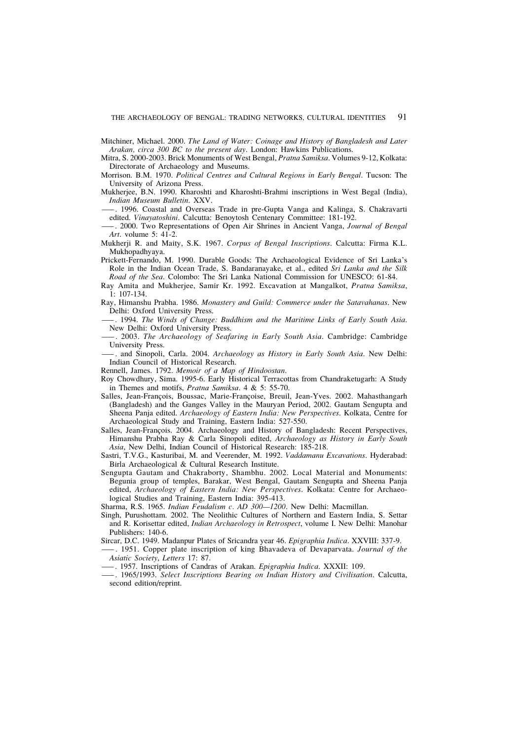- Mitchiner, Michael. 2000. *The Land of Water: Coinage and History of Bangladesh and Later Arakan, circa 300 BC to the present day*. London: Hawkins Publications.
- Mitra, S. 2000-2003. Brick Monuments of West Bengal, *Pratna Samiksa*. Volumes 9-12, Kolkata: Directorate of Archaeology and Museums.
- Morrison. B.M. 1970. *Political Centres and Cultural Regions in Early Bengal*. Tucson: The University of Arizona Press.
- Mukherjee, B.N. 1990. Kharoshti and Kharoshti-Brahmi inscriptions in West Begal (India), *Indian Museum Bulletin*. XXV.

——. 1996. Coastal and Overseas Trade in pre-Gupta Vanga and Kalinga, S. Chakravarti edited. *Vinayatoshini*. Calcutta: Benoytosh Centenary Committee: 181-192.

- Mukherji R. and Maity, S.K. 1967. *Corpus of Bengal Inscriptions*. Calcutta: Firma K.L. Mukhopadhyaya.
- Prickett-Fernando, M. 1990. Durable Goods: The Archaeological Evidence of Sri Lanka's Role in the Indian Ocean Trade, S. Bandaranayake, et al., edited *Sri Lanka and the Silk Road of the Sea*. Colombo: The Sri Lanka National Commission for UNESCO: 61-84.
- Ray Amita and Mukherjee, Samir Kr. 1992. Excavation at Mangalkot, *Pratna Samiksa*, 1: 107-134.
- Ray, Himanshu Prabha. 1986. *Monastery and Guild: Commerce under the Satavahanas*. New Delhi: Oxford University Press.
- ——. 1994. *The Winds of Change: Buddhism and the Maritime Links of Early South Asia*. New Delhi: Oxford University Press.
- ——. 2003. *The Archaeology of Seafaring in Early South Asia*. Cambridge: Cambridge University Press.
- ——. and Sinopoli, Carla. 2004. *Archaeology as History in Early South Asia*. New Delhi: Indian Council of Historical Research.
- Rennell, James. 1792. *Memoir of a Map of Hindoostan*.
- Roy Chowdhury, Sima. 1995-6. Early Historical Terracottas from Chandraketugarh: A Study in Themes and motifs, *Pratna Samiksa*. 4 & 5: 55-70.
- Salles, Jean-François, Boussac, Marie-Françoise, Breuil, Jean-Yves. 2002. Mahasthangarh (Bangladesh) and the Ganges Valley in the Mauryan Period, 2002. Gautam Sengupta and Sheena Panja edited. *Archaeology of Eastern India: New Perspectives*. Kolkata, Centre for Archaeological Study and Training, Eastern India: 527-550.
- Salles, Jean-François. 2004. Archaeology and History of Bangladesh: Recent Perspectives, Himanshu Prabha Ray & Carla Sinopoli edited, *Archaeology as History in Early South Asia*, New Delhi, Indian Council of Historical Research: 185-218.
- Sastri, T.V.G., Kasturibai, M. and Veerender, M. 1992. *Vaddamanu Excavations*. Hyderabad: Birla Archaeological & Cultural Research Institute.
- Sengupta Gautam and Chakraborty, Shambhu. 2002. Local Material and Monuments: Begunia group of temples, Barakar, West Bengal, Gautam Sengupta and Sheena Panja edited, *Archaeology of Eastern India: New Perspectives*. Kolkata: Centre for Archaeological Studies and Training, Eastern India: 395-413.
- Sharma, R.S. 1965. *Indian Feudalism c. AD 300—1200*. New Delhi: Macmillan.
- Singh, Purushottam. 2002. The Neolithic Cultures of Northern and Eastern India, S. Settar and R. Korisettar edited, *Indian Archaeology in Retrospect*, volume I. New Delhi: Manohar Publishers: 140-6.
- Sircar, D.C. 1949. Madanpur Plates of Sricandra year 46. *Epigraphia Indica*. XXVIII: 337-9. ——. 1951. Copper plate inscription of king Bhavadeva of Devaparvata. *Journal of the Asiatic Society*, *Letters* 17: 87.
- ——. 1957. Inscriptions of Candras of Arakan. *Epigraphia Indica*. XXXII: 109.
- ——. 1965/1993. *Select Inscriptions Bearing on Indian History and Civilisation*. Calcutta, second edition/reprint.

<sup>——.</sup> 2000. Two Representations of Open Air Shrines in Ancient Vanga, *Journal of Bengal Art*. volume 5: 41-2.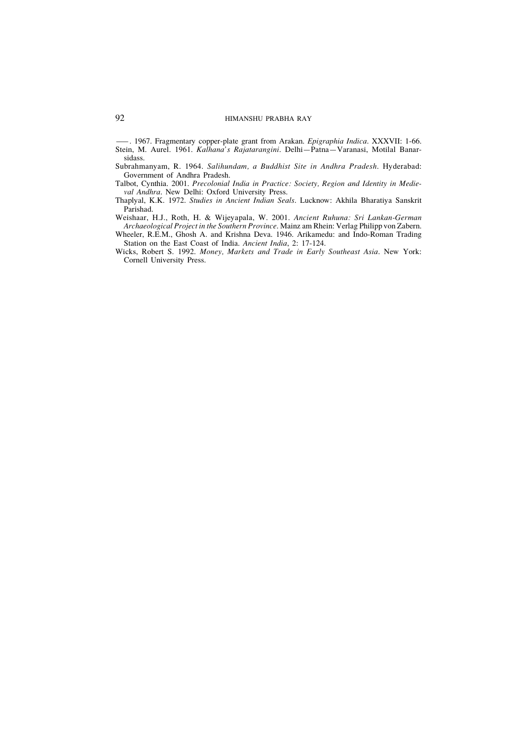——. 1967. Fragmentary copper-plate grant from Arakan. *Epigraphia Indica*. XXXVII: 1-66.

- Stein, M. Aurel. 1961. *Kalhana's Rajatarangini*. Delhi—Patna—Varanasi, Motilal Banarsidass.
- Subrahmanyam, R. 1964. *Salihundam, a Buddhist Site in Andhra Pradesh*. Hyderabad: Government of Andhra Pradesh.
- Talbot, Cynthia. 2001. *Precolonial India in Practice: Society, Region and Identity in Medieval Andhra*. New Delhi: Oxford University Press.
- Thaplyal, K.K. 1972. *Studies in Ancient Indian Seals*. Lucknow: Akhila Bharatiya Sanskrit Parishad.
- Weishaar, H.J., Roth, H. & Wijeyapala, W. 2001. *Ancient Ruhuna: Sri Lankan-German Archaeological Project in the Southern Province*. Mainz am Rhein: Verlag Philipp von Zabern.
- Wheeler, R.E.M., Ghosh A. and Krishna Deva. 1946. Arikamedu: and Indo-Roman Trading Station on the East Coast of India. *Ancient India*, 2: 17-124.
- Wicks, Robert S. 1992. *Money, Markets and Trade in Early Southeast Asia*. New York: Cornell University Press.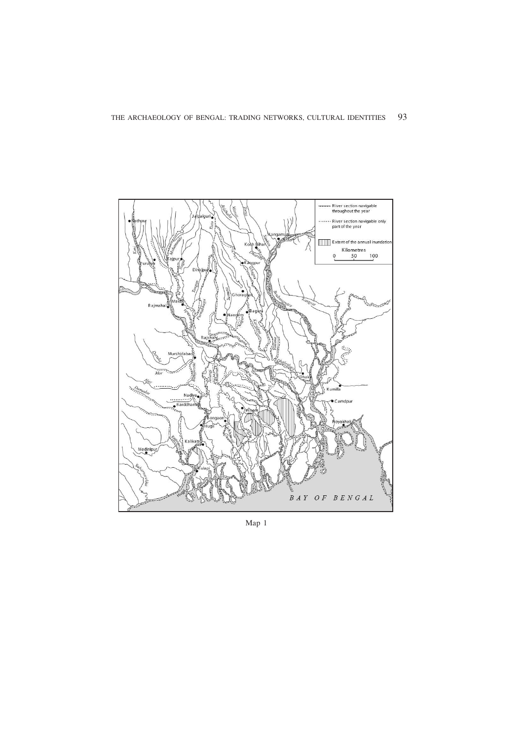

Map 1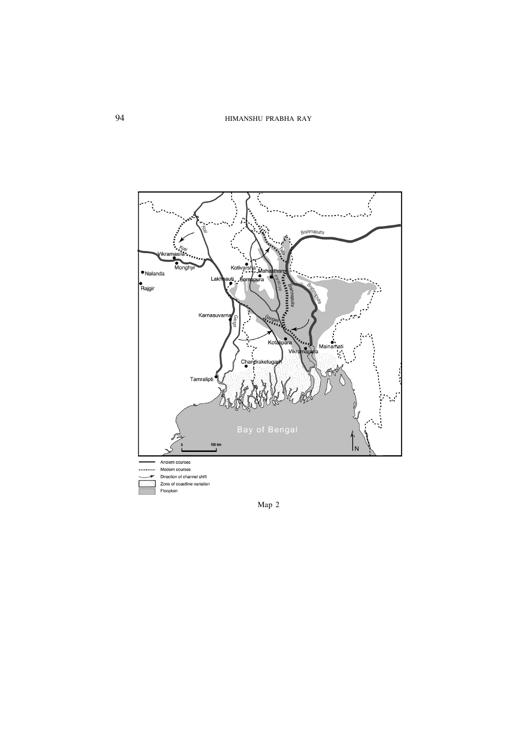

Direction of channel shift Zone of coastline variation

Flooplain

Map 2